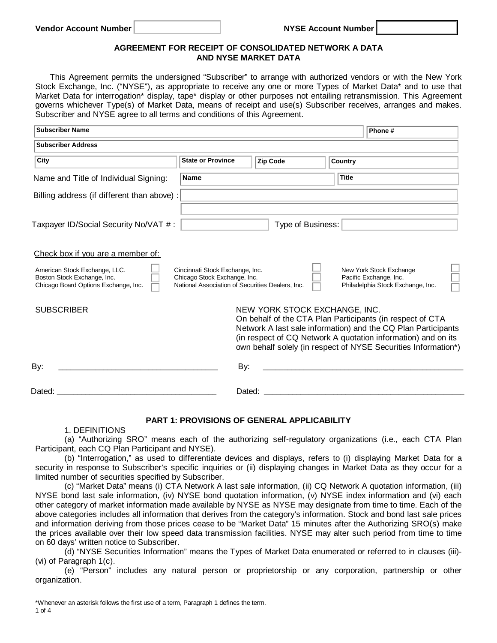## **AGREEMENT FOR RECEIPT OF CONSOLIDATED NETWORK A DATA AND NYSE MARKET DATA**

This Agreement permits the undersigned "Subscriber" to arrange with authorized vendors or with the New York Stock Exchange, Inc. ("NYSE"), as appropriate to receive any one or more Types of Market Data\* and to use that Market Data for interrogation\* display, tape\* display or other purposes not entailing retransmission. This Agreement governs whichever Type(s) of Market Data, means of receipt and use(s) Subscriber receives, arranges and makes. Subscriber and NYSE agree to all terms and conditions of this Agreement.

| <b>Subscriber Name</b>                                                                               |                                                                                                                     |                                                                                                                                                                                                                                                                                                | Phone #           |                                                                                        |  |
|------------------------------------------------------------------------------------------------------|---------------------------------------------------------------------------------------------------------------------|------------------------------------------------------------------------------------------------------------------------------------------------------------------------------------------------------------------------------------------------------------------------------------------------|-------------------|----------------------------------------------------------------------------------------|--|
| <b>Subscriber Address</b>                                                                            |                                                                                                                     |                                                                                                                                                                                                                                                                                                |                   |                                                                                        |  |
| City                                                                                                 | <b>State or Province</b>                                                                                            | <b>Zip Code</b>                                                                                                                                                                                                                                                                                | Country           |                                                                                        |  |
| Name and Title of Individual Signing:                                                                | <b>Name</b>                                                                                                         |                                                                                                                                                                                                                                                                                                | <b>Title</b>      |                                                                                        |  |
| Billing address (if different than above) :                                                          |                                                                                                                     |                                                                                                                                                                                                                                                                                                |                   |                                                                                        |  |
| Taxpayer ID/Social Security No/VAT #:                                                                |                                                                                                                     |                                                                                                                                                                                                                                                                                                | Type of Business: |                                                                                        |  |
| Check box if you are a member of:                                                                    |                                                                                                                     |                                                                                                                                                                                                                                                                                                |                   |                                                                                        |  |
| American Stock Exchange, LLC.<br>Boston Stock Exchange, Inc.<br>Chicago Board Options Exchange, Inc. | Cincinnati Stock Exchange, Inc.<br>Chicago Stock Exchange, Inc.<br>National Association of Securities Dealers, Inc. |                                                                                                                                                                                                                                                                                                |                   | New York Stock Exchange<br>Pacific Exchange, Inc.<br>Philadelphia Stock Exchange, Inc. |  |
| <b>SUBSCRIBER</b>                                                                                    |                                                                                                                     | NEW YORK STOCK EXCHANGE, INC.<br>On behalf of the CTA Plan Participants (in respect of CTA<br>Network A last sale information) and the CQ Plan Participants<br>(in respect of CQ Network A quotation information) and on its<br>own behalf solely (in respect of NYSE Securities Information*) |                   |                                                                                        |  |
| By:                                                                                                  |                                                                                                                     | By:                                                                                                                                                                                                                                                                                            |                   |                                                                                        |  |
| Dated:                                                                                               |                                                                                                                     | Dated:                                                                                                                                                                                                                                                                                         |                   |                                                                                        |  |

## **PART 1: PROVISIONS OF GENERAL APPLICABILITY**

1. DEFINITIONS

(a) "Authorizing SRO" means each of the authorizing self-regulatory organizations (i.e., each CTA Plan Participant, each CQ Plan Participant and NYSE).

(b) "Interrogation," as used to differentiate devices and displays, refers to (i) displaying Market Data for a security in response to Subscriber's specific inquiries or (ii) displaying changes in Market Data as they occur for a limited number of securities specified by Subscriber.

(c) "Market Data" means (i) CTA Network A last sale information, (ii) CQ Network A quotation information, (iii) NYSE bond last sale information, (iv) NYSE bond quotation information, (v) NYSE index information and (vi) each other category of market information made available by NYSE as NYSE may designate from time to time. Each of the above categories includes all information that derives from the category's information. Stock and bond last sale prices and information deriving from those prices cease to be "Market Data" 15 minutes after the Authorizing SRO(s) make the prices available over their low speed data transmission facilities. NYSE may alter such period from time to time on 60 days' written notice to Subscriber.

(d) "NYSE Securities Information" means the Types of Market Data enumerated or referred to in clauses (iii)- (vi) of Paragraph 1(c).

(e) "Person" includes any natural person or proprietorship or any corporation, partnership or other organization.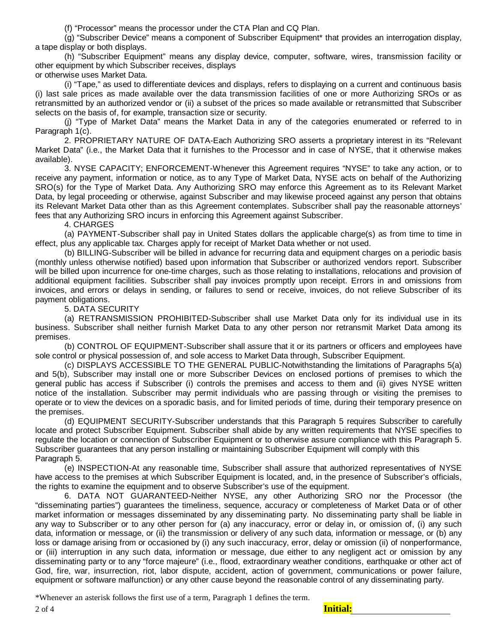(f) "Processor" means the processor under the CTA Plan and CQ Plan.

(g) "Subscriber Device" means a component of Subscriber Equipment\* that provides an interrogation display, a tape display or both displays.

(h) "Subscriber Equipment" means any display device, computer, software, wires, transmission facility or other equipment by which Subscriber receives, displays

or otherwise uses Market Data.

(i) "Tape," as used to differentiate devices and displays, refers to displaying on a current and continuous basis (i) last sale prices as made available over the data transmission facilities of one or more Authorizing SROs or as retransmitted by an authorized vendor or (ii) a subset of the prices so made available or retransmitted that Subscriber selects on the basis of, for example, transaction size or security.

(j) "Type of Market Data" means the Market Data in any of the categories enumerated or referred to in Paragraph 1(c).

2. PROPRIETARY NATURE OF DATA-Each Authorizing SRO asserts a proprietary interest in its "Relevant Market Data" (i.e., the Market Data that it furnishes to the Processor and in case of NYSE, that it otherwise makes available).

3. NYSE CAPACITY; ENFORCEMENT-Whenever this Agreement requires "NYSE" to take any action, or to receive any payment, information or notice, as to any Type of Market Data, NYSE acts on behalf of the Authorizing SRO(s) for the Type of Market Data. Any Authorizing SRO may enforce this Agreement as to its Relevant Market Data, by legal proceeding or otherwise, against Subscriber and may likewise proceed against any person that obtains its Relevant Market Data other than as this Agreement contemplates. Subscriber shall pay the reasonable attorneys' fees that any Authorizing SRO incurs in enforcing this Agreement against Subscriber.

4. CHARGES

(a) PAYMENT-Subscriber shall pay in United States dollars the applicable charge(s) as from time to time in effect, plus any applicable tax. Charges apply for receipt of Market Data whether or not used.

(b) BILLING-Subscriber will be billed in advance for recurring data and equipment charges on a periodic basis (monthly unless otherwise notified) based upon information that Subscriber or authorized vendors report. Subscriber will be billed upon incurrence for one-time charges, such as those relating to installations, relocations and provision of additional equipment facilities. Subscriber shall pay invoices promptly upon receipt. Errors in and omissions from invoices, and errors or delays in sending, or failures to send or receive, invoices, do not relieve Subscriber of its payment obligations.

5. DATA SECURITY

(a) RETRANSMISSION PROHIBITED-Subscriber shall use Market Data only for its individual use in its business. Subscriber shall neither furnish Market Data to any other person nor retransmit Market Data among its premises.

(b) CONTROL OF EQUIPMENT-Subscriber shall assure that it or its partners or officers and employees have sole control or physical possession of, and sole access to Market Data through, Subscriber Equipment.

(c) DISPLAYS ACCESSIBLE TO THE GENERAL PUBLIC-Notwithstanding the limitations of Paragraphs 5(a) and 5(b), Subscriber may install one or more Subscriber Devices on enclosed portions of premises to which the general public has access if Subscriber (i) controls the premises and access to them and (ii) gives NYSE written notice of the installation. Subscriber may permit individuals who are passing through or visiting the premises to operate or to view the devices on a sporadic basis, and for limited periods of time, during their temporary presence on the premises.

(d) EQUIPMENT SECURITY-Subscriber understands that this Paragraph 5 requires Subscriber to carefully locate and protect Subscriber Equipment. Subscriber shall abide by any written requirements that NYSE specifies to regulate the location or connection of Subscriber Equipment or to otherwise assure compliance with this Paragraph 5. Subscriber guarantees that any person installing or maintaining Subscriber Equipment will comply with this Paragraph 5.

(e) INSPECTION-At any reasonable time, Subscriber shall assure that authorized representatives of NYSE have access to the premises at which Subscriber Equipment is located, and, in the presence of Subscriber's officials, the rights to examine the equipment and to observe Subscriber's use of the equipment.

6. DATA NOT GUARANTEED-Neither NYSE, any other Authorizing SRO nor the Processor (the "disseminating parties") guarantees the timeliness, sequence, accuracy or completeness of Market Data or of other market information or messages disseminated by any disseminating party. No disseminating party shall be liable in any way to Subscriber or to any other person for (a) any inaccuracy, error or delay in, or omission of, (i) any such data, information or message, or (ii) the transmission or delivery of any such data, information or message, or (b) any loss or damage arising from or occasioned by (i) any such inaccuracy, error, delay or omission (ii) of nonperformance, or (iii) interruption in any such data, information or message, due either to any negligent act or omission by any disseminating party or to any "force majeure" (i.e., flood, extraordinary weather conditions, earthquake or other act of God, fire, war, insurrection, riot, labor dispute, accident, action of government, communications or power failure, equipment or software malfunction) or any other cause beyond the reasonable control of any disseminating party.

\*Whenever an asterisk follows the first use of a term, Paragraph 1 defines the term.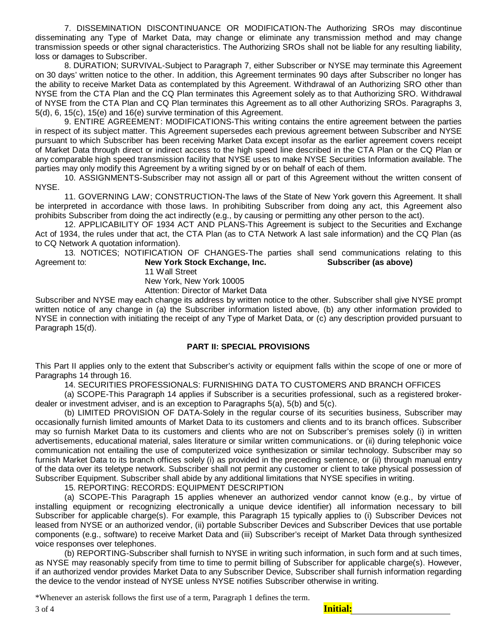7. DISSEMINATION DISCONTINUANCE OR MODIFICATION-The Authorizing SROs may discontinue disseminating any Type of Market Data, may change or eliminate any transmission method and may change transmission speeds or other signal characteristics. The Authorizing SROs shall not be liable for any resulting liability, loss or damages to Subscriber.

8. DURATION; SURVIVAL-Subject to Paragraph 7, either Subscriber or NYSE may terminate this Agreement on 30 days' written notice to the other. In addition, this Agreement terminates 90 days after Subscriber no longer has the ability to receive Market Data as contemplated by this Agreement. Withdrawal of an Authorizing SRO other than NYSE from the CTA Plan and the CQ Plan terminates this Agreement solely as to that Authorizing SRO. Withdrawal of NYSE from the CTA Plan and CQ Plan terminates this Agreement as to all other Authorizing SROs. Paragraphs 3, 5(d), 6, 15(c), 15(e) and 16(e) survive termination of this Agreement.

9. ENTIRE AGREEMENT: MODIFICATIONS-This writing contains the entire agreement between the parties in respect of its subject matter. This Agreement supersedes each previous agreement between Subscriber and NYSE pursuant to which Subscriber has been receiving Market Data except insofar as the earlier agreement covers receipt of Market Data through direct or indirect access to the high speed line described in the CTA Plan or the CQ Plan or any comparable high speed transmission facility that NYSE uses to make NYSE Securities Information available. The parties may only modify this Agreement by a writing signed by or on behalf of each of them.

10. ASSIGNMENTS-Subscriber may not assign all or part of this Agreement without the written consent of NYSE.

11. GOVERNING LAW; CONSTRUCTION-The laws of the State of New York govern this Agreement. It shall be interpreted in accordance with those laws. In prohibiting Subscriber from doing any act, this Agreement also prohibits Subscriber from doing the act indirectly (e.g., by causing or permitting any other person to the act).

12. APPLICABILITY OF 1934 ACT AND PLANS-This Agreement is subject to the Securities and Exchange Act of 1934, the rules under that act, the CTA Plan (as to CTA Network A last sale information) and the CQ Plan (as to CQ Network A quotation information).

13. NOTICES; NOTIFICATION OF CHANGES-The parties shall send communications relating to this Agreement to: **New York Stock Exchange, Inc. Subscriber (as above)**

11 Wall Street

New York, New York 10005

Attention: Director of Market Data

Subscriber and NYSE may each change its address by written notice to the other. Subscriber shall give NYSE prompt written notice of any change in (a) the Subscriber information listed above, (b) any other information provided to NYSE in connection with initiating the receipt of any Type of Market Data, or (c) any description provided pursuant to Paragraph 15(d).

## **PART II: SPECIAL PROVISIONS**

This Part II applies only to the extent that Subscriber's activity or equipment falls within the scope of one or more of Paragraphs 14 through 16.

14. SECURITIES PROFESSIONALS: FURNISHING DATA TO CUSTOMERS AND BRANCH OFFICES

(a) SCOPE-This Paragraph 14 applies if Subscriber is a securities professional, such as a registered brokerdealer or investment adviser, and is an exception to Paragraphs 5(a), 5(b) and 5(c).

(b) LIMITED PROVISION OF DATA-Solely in the regular course of its securities business, Subscriber may occasionally furnish limited amounts of Market Data to its customers and clients and to its branch offices. Subscriber may so furnish Market Data to its customers and clients who are not on Subscriber's premises solely (i) in written advertisements, educational material, sales literature or similar written communications. or (ii) during telephonic voice communication not entailing the use of computerized voice synthesization or similar technology. Subscriber may so furnish Market Data to its branch offices solely (i) as provided in the preceding sentence, or (ii) through manual entry of the data over its teletype network. Subscriber shall not permit any customer or client to take physical possession of Subscriber Equipment. Subscriber shall abide by any additional limitations that NYSE specifies in writing.

15. REPORTING: RECORDS: EQUIPMENT DESCRIPTION

(a) SCOPE-This Paragraph 15 applies whenever an authorized vendor cannot know (e.g., by virtue of installing equipment or recognizing electronically a unique device identifier) all information necessary to bill Subscriber for applicable charge(s). For example, this Paragraph 15 typically applies to (i) Subscriber Devices not leased from NYSE or an authorized vendor, (ii) portable Subscriber Devices and Subscriber Devices that use portable components (e.g., software) to receive Market Data and (iii) Subscriber's receipt of Market Data through synthesized voice responses over telephones.

(b) REPORTING-Subscriber shall furnish to NYSE in writing such information, in such form and at such times, as NYSE may reasonably specify from time to time to permit billing of Subscriber for applicable charge(s). However, if an authorized vendor provides Market Data to any Subscriber Device, Subscriber shall furnish information regarding the device to the vendor instead of NYSE unless NYSE notifies Subscriber otherwise in writing.

\*Whenever an asterisk follows the first use of a term, Paragraph 1 defines the term.